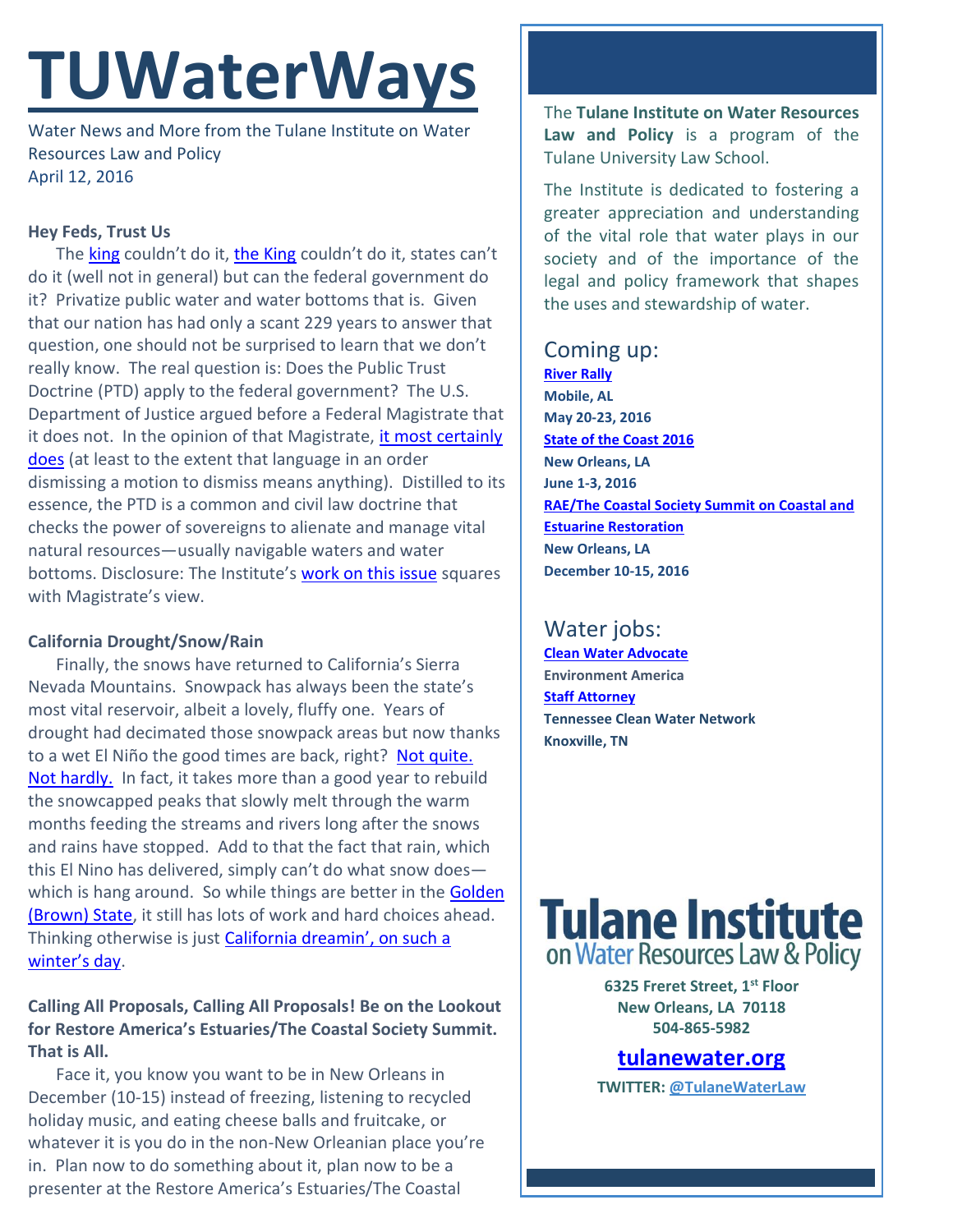# **TUWaterWays**

Water News and More from the Tulane Institute on Water Resources Law and Policy April 12, 2016

#### **Hey Feds, Trust Us**

The [king](https://upload.wikimedia.org/wikipedia/commons/a/a4/GeorgIvonGro%C3%9FbritannienGeorgFriedrichHaendelHamman.jpg) couldn't do it, [the King](https://40.media.tumblr.com/tumblr_m0wdk2i63y1r4fbz5o1_500.jpg) couldn't do it, states can't do it (well not in general) but can the federal government do it? Privatize public water and water bottoms that is. Given that our nation has had only a scant 229 years to answer that question, one should not be surprised to learn that we don't really know. The real question is: Does the Public Trust Doctrine (PTD) apply to the federal government? The U.S. Department of Justice argued before a Federal Magistrate that it does not. In the opinion of that Magistrate, it most certainly [does](http://ourchildrenstrust.org/sites/default/files/16.04.08.OrderDenyingMTD.pdf) (at least to the extent that language in an order dismissing a motion to dismiss means anything). Distilled to its essence, the PTD is a common and civil law doctrine that checks the power of sovereigns to alienate and manage vital natural resources—usually navigable waters and water bottoms. Disclosure: The Institute's [work on this issue](http://www.wetlandsnewsletter.org/articles/trust-abides) squares with Magistrate's view.

#### **California Drought/Snow/Rain**

Finally, the snows have returned to California's Sierra Nevada Mountains. Snowpack has always been the state's most vital reservoir, albeit a lovely, fluffy one. Years of drought had decimated those snowpack areas but now thanks to a wet El Niño the good times are back, right? Not quite. [Not hardly.](http://www.nytimes.com/2016/04/12/science/california-snow-drought-sierra-nevada-water.html?_r=0) In fact, it takes more than a good year to rebuild the snowcapped peaks that slowly melt through the warm months feeding the streams and rivers long after the snows and rains have stopped. Add to that the fact that rain, which this El Nino has delivered, simply can't do what snow does which is hang around. So while things are better in the Golden [\(Brown\) State,](http://earthobservatory.nasa.gov/IOTD/view.php?id=84032) it still has lots of work and hard choices ahead. Thinking otherwise is just **[California dreamin'](https://www.youtube.com/watch?v=3kcmwXUdDCE), on such a** [winter's day](https://www.youtube.com/watch?v=3kcmwXUdDCE).

### **Calling All Proposals, Calling All Proposals! Be on the Lookout for Restore America's Estuaries/The Coastal Society Summit. That is All.**

Face it, you know you want to be in New Orleans in December (10-15) instead of freezing, listening to recycled holiday music, and eating cheese balls and fruitcake, or whatever it is you do in the non-New Orleanian place you're in. Plan now to do something about it, plan now to be a presenter at the Restore America's Estuaries/The Coastal

The **Tulane Institute on Water Resources Law and Policy** is a program of the Tulane University Law School.

The Institute is dedicated to fostering a greater appreciation and understanding of the vital role that water plays in our society and of the importance of the legal and policy framework that shapes the uses and stewardship of water.

## Coming up:

**[River Rally](https://www.rivernetwork.org/events-learning/river-rally/about/) Mobile, AL May 20-23, 2016 [State of the Coast 2016](http://stateofthecoast.org/) New Orleans, LA June 1-3, 2016 [RAE/The Coastal Society Summit on Coastal and](https://www.estuaries.org/images/NOLA_2016/2016-Summit-CFP_FINAL-011516.pdf)  [Estuarine Restoration](https://www.estuaries.org/images/NOLA_2016/2016-Summit-CFP_FINAL-011516.pdf) New Orleans, LA December 10-15, 2016**

# Water jobs:

**[Clean Water Advocate](http://jobs.environmentamerica.org/clean-water-advocate.html) Environment America [Staff Attorney](http://www.tcwn.org/job-opening-staff-attorney/) Tennessee Clean Water Network Knoxville, TN**

# **Tulane Institute** on Water Resources Law & Policy

**6325 Freret Street, 1st Floor New Orleans, LA 70118 504-865-5982** 

**[tulanewater.org](file:///C:/Users/waterlaw/Downloads/tulanewater.org)**

**TWITTER: [@TulaneWaterLaw](http://www.twitter.com/TulaneWaterLaw)**